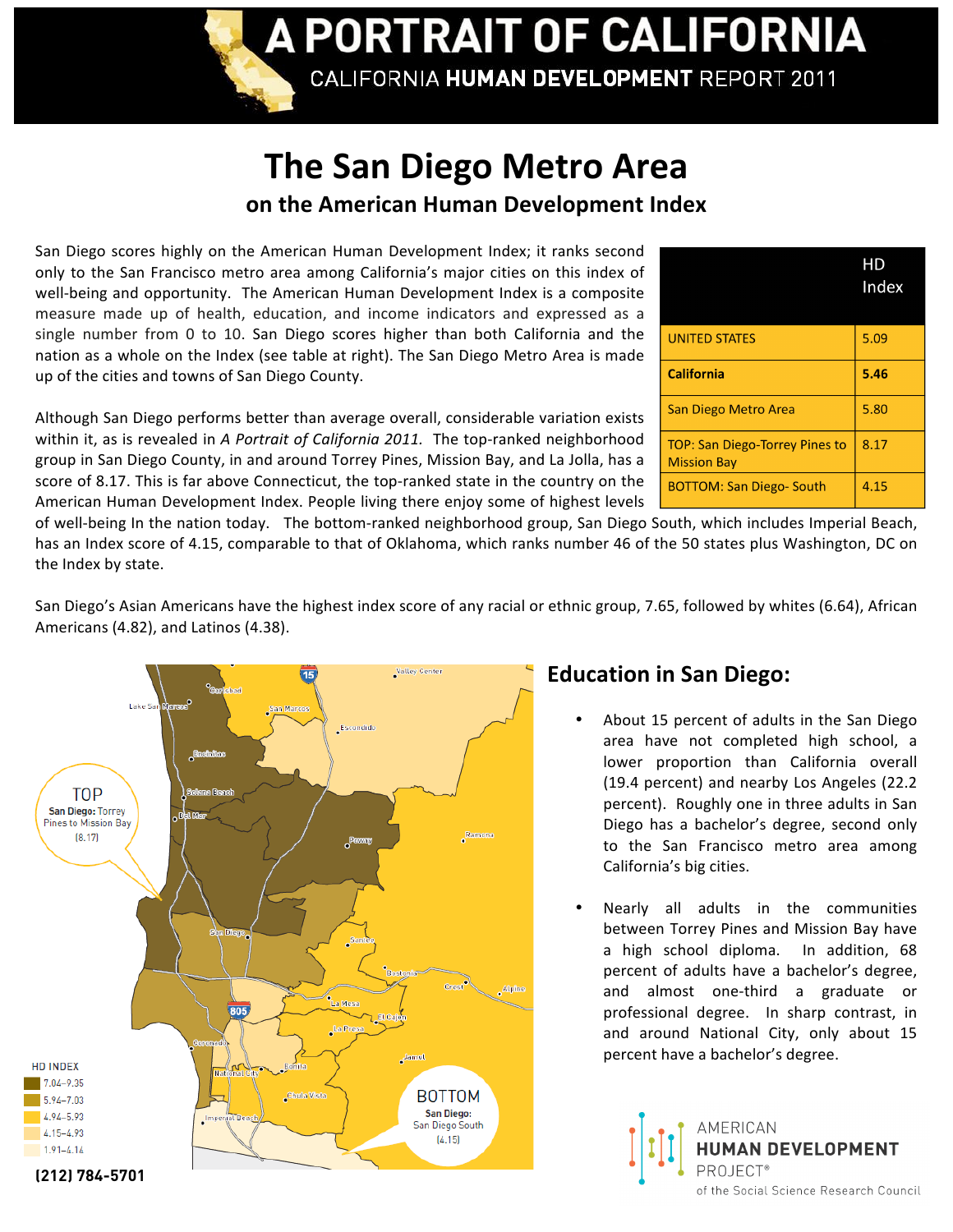

## **The
San
Diego
Metro
Area on
the
American
Human
Development
Index**

San Diego scores highly on the American Human Development Index; it ranks second only to the San Francisco metro area among California's major cities on this index of well-being and opportunity. The American Human Development Index is a composite measure made up of health, education, and income indicators and expressed as a single number from 0 to 10. San Diego scores higher than both California and the nation as a whole on the Index (see table at right). The San Diego Metro Area is made up
of
the
cities
and
towns
of
San
Diego
County.

Although San Diego performs better than average overall, considerable variation exists within it, as is revealed in A Portrait of California 2011. The top-ranked neighborhood group in San Diego County, in and around Torrey Pines, Mission Bay, and La Jolla, has a score of 8.17. This is far above Connecticut, the top-ranked state in the country on the American
Human
Development
Index.
People
living
there
enjoy
some
of
highest
levels

|                                                             | НD<br>Index |
|-------------------------------------------------------------|-------------|
| <b>UNITED STATES</b>                                        | 5.09        |
| <b>California</b>                                           | 5.46        |
| San Diego Metro Area                                        | 5.80        |
| <b>TOP: San Diego-Torrey Pines to</b><br><b>Mission Bay</b> | 8.17        |
| <b>BOTTOM: San Diego- South</b>                             | 4.15        |

of well-being In the nation today. The bottom-ranked neighborhood group, San Diego South, which includes Imperial Beach, has an Index score of 4.15, comparable to that of Oklahoma, which ranks number 46 of the 50 states plus Washington, DC on the
Index
by
state.

San Diego's Asian Americans have the highest index score of any racial or ethnic group, 7.65, followed by whites (6.64), African Americans
(4.82),
and
Latinos
(4.38).



## **Education
in
San
Diego:**

- About 15 percent of adults in the San Diego area have
 not
 completed
 high
 school,
 a lower proportion than California overall (19.4
percent)
and
nearby
Los
Angeles
 (22.2 percent).

Roughly
one
in
three
adults
in
San Diego
 has
 a
 bachelor's
 degree,
 second
 only to
 the
 San
 Francisco
 metro
 area among California's big cities.
- Nearly all adults in the communities between
Torrey
Pines
and
Mission
Bay
have a
 high
 school
 diploma.

 In
 addition,
 68 percent
 of
 adults
 have
 a
 bachelor's
 degree, and
 almost
 one‐third
 a
 graduate
 or professional
 degree.

 In sharp contrast,
 in and
 around
 National
 City,
 only
 about
 15 percent
have
a
bachelor's
degree.